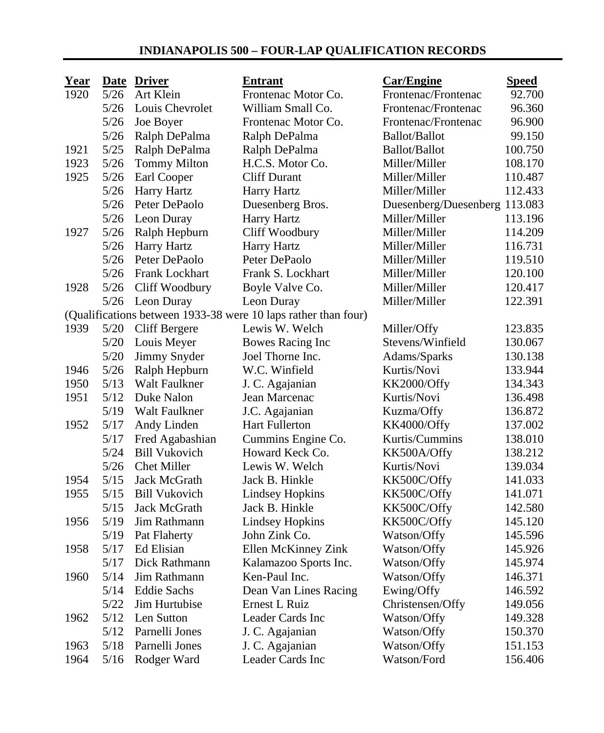## **INDIANAPOLIS 500 – FOUR-LAP QUALIFICATION RECORDS**

| <b>Year</b> |        | Date Driver           | <b>Entrant</b>                                                 | <b>Car/Engine</b>             | <b>Speed</b> |
|-------------|--------|-----------------------|----------------------------------------------------------------|-------------------------------|--------------|
| 1920        | 5/26   | Art Klein             | Frontenac Motor Co.                                            | Frontenac/Frontenac           | 92.700       |
|             | $5/26$ | Louis Chevrolet       | William Small Co.                                              | Frontenac/Frontenac           | 96.360       |
|             | $5/26$ | Joe Boyer             | Frontenac Motor Co.                                            | Frontenac/Frontenac           | 96.900       |
|             | $5/26$ | Ralph DePalma         | Ralph DePalma                                                  | Ballot/Ballot                 | 99.150       |
| 1921        | $5/25$ | Ralph DePalma         | Ralph DePalma                                                  | <b>Ballot/Ballot</b>          | 100.750      |
| 1923        | 5/26   | <b>Tommy Milton</b>   | H.C.S. Motor Co.                                               | Miller/Miller                 | 108.170      |
| 1925        | $5/26$ | Earl Cooper           | Cliff Durant                                                   | Miller/Miller                 | 110.487      |
|             | 5/26   | Harry Hartz           | <b>Harry Hartz</b>                                             | Miller/Miller                 | 112.433      |
|             | 5/26   | Peter DePaolo         | Duesenberg Bros.                                               | Duesenberg/Duesenberg 113.083 |              |
|             | $5/26$ | Leon Duray            | Harry Hartz                                                    | Miller/Miller                 | 113.196      |
| 1927        | $5/26$ | Ralph Hepburn         | Cliff Woodbury                                                 | Miller/Miller                 | 114.209      |
|             | $5/26$ | Harry Hartz           | <b>Harry Hartz</b>                                             | Miller/Miller                 | 116.731      |
|             | $5/26$ | Peter DePaolo         | Peter DePaolo                                                  | Miller/Miller                 | 119.510      |
|             | 5/26   | <b>Frank Lockhart</b> | Frank S. Lockhart                                              | Miller/Miller                 | 120.100      |
| 1928        | $5/26$ | Cliff Woodbury        | Boyle Valve Co.                                                | Miller/Miller                 | 120.417      |
|             | $5/26$ | Leon Duray            | Leon Duray                                                     | Miller/Miller                 | 122.391      |
|             |        |                       | (Qualifications between 1933-38 were 10 laps rather than four) |                               |              |
| 1939        | $5/20$ | Cliff Bergere         | Lewis W. Welch                                                 | Miller/Offy                   | 123.835      |
|             | $5/20$ | Louis Meyer           | Bowes Racing Inc                                               | Stevens/Winfield              | 130.067      |
|             | $5/20$ | Jimmy Snyder          | Joel Thorne Inc.                                               | Adams/Sparks                  | 130.138      |
| 1946        | 5/26   | Ralph Hepburn         | W.C. Winfield                                                  | Kurtis/Novi                   | 133.944      |
| 1950        | 5/13   | Walt Faulkner         | J. C. Agajanian                                                | KK2000/Offy                   | 134.343      |
| 1951        | 5/12   | Duke Nalon            | Jean Marcenac                                                  | Kurtis/Novi                   | 136.498      |
|             | 5/19   | Walt Faulkner         | J.C. Agajanian                                                 | Kuzma/Offy                    | 136.872      |
| 1952        | 5/17   | Andy Linden           | <b>Hart Fullerton</b>                                          | KK4000/Offy                   | 137.002      |
|             | 5/17   | Fred Agabashian       | Cummins Engine Co.                                             | Kurtis/Cummins                | 138.010      |
|             | 5/24   | <b>Bill Vukovich</b>  | Howard Keck Co.                                                | KK500A/Offy                   | 138.212      |
|             | $5/26$ | <b>Chet Miller</b>    | Lewis W. Welch                                                 | Kurtis/Novi                   | 139.034      |
| 1954        | 5/15   | Jack McGrath          | Jack B. Hinkle                                                 | KK500C/Offy                   | 141.033      |
| 1955        | 5/15   | <b>Bill Vukovich</b>  | <b>Lindsey Hopkins</b>                                         | KK500C/Offy                   | 141.071      |
|             | 5/15   | Jack McGrath          | Jack B. Hinkle                                                 | KK500C/Offy                   | 142.580      |
| 1956        | 5/19   | Jim Rathmann          | <b>Lindsey Hopkins</b>                                         | KK500C/Offy                   | 145.120      |
|             | 5/19   | Pat Flaherty          | John Zink Co.                                                  | Watson/Offy                   | 145.596      |
| 1958        | 5/17   | Ed Elisian            | Ellen McKinney Zink                                            | Watson/Offy                   | 145.926      |
|             | 5/17   | Dick Rathmann         | Kalamazoo Sports Inc.                                          | Watson/Offy                   | 145.974      |
| 1960        | 5/14   | Jim Rathmann          | Ken-Paul Inc.                                                  | Watson/Offy                   | 146.371      |
|             | 5/14   | <b>Eddie Sachs</b>    | Dean Van Lines Racing                                          | Ewing/Offy                    | 146.592      |
|             | 5/22   | Jim Hurtubise         | Ernest L Ruiz                                                  | Christensen/Offy              | 149.056      |
| 1962        | 5/12   | Len Sutton            | Leader Cards Inc                                               | Watson/Offy                   | 149.328      |
|             | 5/12   | Parnelli Jones        | J. C. Agajanian                                                | Watson/Offy                   | 150.370      |
| 1963        | 5/18   | Parnelli Jones        | J. C. Agajanian                                                | Watson/Offy                   | 151.153      |
| 1964        | 5/16   | Rodger Ward           | Leader Cards Inc                                               | Watson/Ford                   | 156.406      |